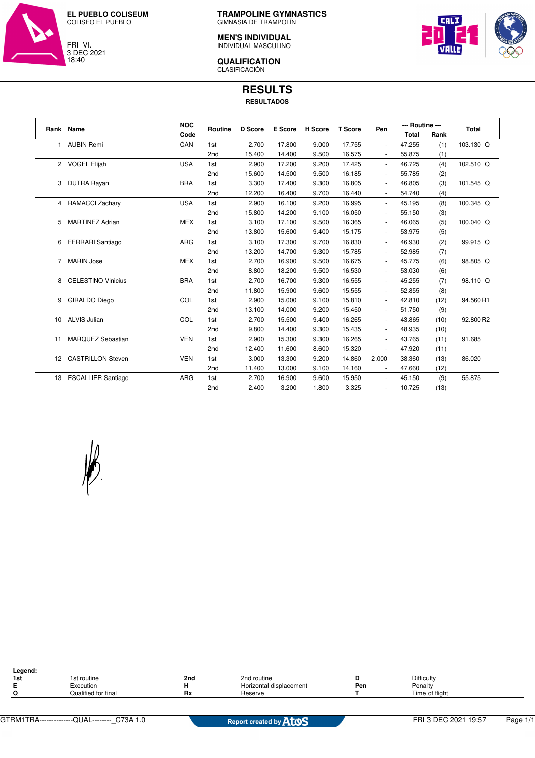

**TRAMPOLINE GYMNASTICS** GIMNASIA DE TRAMPOLÍN

## **MEN'S INDIVIDUAL** INDIVIDUAL MASCULINO

**QUALIFICATION** CLASIFICACIÓN



**RESULTS**

**RESULTADOS**

|                 | Rank Name                 | <b>NOC</b> | Routine         | <b>D</b> Score | E Score | H Score | <b>T</b> Score | Pen                      | --- Routine --- |      | <b>Total</b> |
|-----------------|---------------------------|------------|-----------------|----------------|---------|---------|----------------|--------------------------|-----------------|------|--------------|
|                 |                           | Code       |                 |                |         |         |                |                          | <b>Total</b>    | Rank |              |
| 1               | <b>AUBIN Remi</b>         | CAN        | 1st             | 2.700          | 17.800  | 9.000   | 17.755         | $\overline{\phantom{a}}$ | 47.255          | (1)  | 103.130 Q    |
|                 |                           |            | 2nd             | 15.400         | 14.400  | 9.500   | 16.575         | $\overline{\phantom{m}}$ | 55.875          | (1)  |              |
|                 | 2 VOGEL Elijah            | <b>USA</b> | 1st             | 2.900          | 17.200  | 9.200   | 17.425         | $\sim$                   | 46.725          | (4)  | 102.510 Q    |
|                 |                           |            | 2 <sub>nd</sub> | 15.600         | 14.500  | 9.500   | 16.185         | $\overline{\phantom{a}}$ | 55.785          | (2)  |              |
| 3               | <b>DUTRA Rayan</b>        | <b>BRA</b> | 1st             | 3.300          | 17.400  | 9.300   | 16.805         | $\overline{\phantom{a}}$ | 46.805          | (3)  | 101.545 Q    |
|                 |                           |            | 2nd             | 12.200         | 16.400  | 9.700   | 16.440         | $\overline{\phantom{a}}$ | 54.740          | (4)  |              |
| 4               | RAMACCI Zachary           | <b>USA</b> | 1st             | 2.900          | 16.100  | 9.200   | 16.995         | $\overline{\phantom{a}}$ | 45.195          | (8)  | 100.345 Q    |
|                 |                           |            | 2nd             | 15.800         | 14.200  | 9.100   | 16.050         | $\overline{\phantom{a}}$ | 55.150          | (3)  |              |
| 5               | <b>MARTINEZ Adrian</b>    | <b>MEX</b> | 1st             | 3.100          | 17.100  | 9.500   | 16.365         | $\overline{\phantom{a}}$ | 46.065          | (5)  | 100.040 Q    |
|                 |                           |            | 2nd             | 13.800         | 15.600  | 9.400   | 15.175         | $\overline{\phantom{a}}$ | 53.975          | (5)  |              |
| 6               | <b>FERRARI</b> Santiago   | <b>ARG</b> | 1st             | 3.100          | 17.300  | 9.700   | 16.830         | $\overline{\phantom{a}}$ | 46.930          | (2)  | 99.915 Q     |
|                 |                           |            | 2nd             | 13.200         | 14.700  | 9.300   | 15.785         | $\overline{\phantom{a}}$ | 52.985          | (7)  |              |
| 7               | <b>MARIN Jose</b>         | <b>MEX</b> | 1st             | 2.700          | 16.900  | 9.500   | 16.675         | $\overline{\phantom{a}}$ | 45.775          | (6)  | 98.805 Q     |
|                 |                           |            | 2nd             | 8.800          | 18.200  | 9.500   | 16.530         | $\overline{\phantom{a}}$ | 53.030          | (6)  |              |
| 8               | <b>CELESTINO Vinicius</b> | <b>BRA</b> | 1st             | 2.700          | 16.700  | 9.300   | 16.555         | $\overline{\phantom{a}}$ | 45.255          | (7)  | 98.110 Q     |
|                 |                           |            | 2nd             | 11.800         | 15.900  | 9.600   | 15.555         | $\overline{\phantom{a}}$ | 52.855          | (8)  |              |
| 9               | GIRALDO Diego             | COL        | 1st             | 2.900          | 15.000  | 9.100   | 15.810         | ÷                        | 42.810          | (12) | 94.560R1     |
|                 |                           |            | 2nd             | 13.100         | 14.000  | 9.200   | 15.450         | $\blacksquare$           | 51.750          | (9)  |              |
| 10              | <b>ALVIS Julian</b>       | COL        | 1st             | 2.700          | 15.500  | 9.400   | 16.265         | $\overline{\phantom{a}}$ | 43.865          | (10) | 92.800R2     |
|                 |                           |            | 2nd             | 9.800          | 14.400  | 9.300   | 15.435         | $\overline{\phantom{a}}$ | 48.935          | (10) |              |
| 11              | MARQUEZ Sebastian         | <b>VEN</b> | 1st             | 2.900          | 15.300  | 9.300   | 16.265         | $\overline{\phantom{a}}$ | 43.765          | (11) | 91.685       |
|                 |                           |            | 2nd             | 12.400         | 11.600  | 8.600   | 15.320         | ÷,                       | 47.920          | (11) |              |
| 12 <sup>2</sup> | <b>CASTRILLON Steven</b>  | <b>VEN</b> | 1st             | 3.000          | 13.300  | 9.200   | 14.860         | $-2.000$                 | 38.360          | (13) | 86.020       |
|                 |                           |            | 2nd             | 11.400         | 13.000  | 9.100   | 14.160         | $\overline{\phantom{a}}$ | 47.660          | (12) |              |
| 13              | <b>ESCALLIER Santiago</b> | ARG        | 1st             | 2.700          | 16.900  | 9.600   | 15.950         | $\sim$                   | 45.150          | (9)  | 55.875       |
|                 |                           |            | 2nd             | 2.400          | 3.200   | 1.800   | 3.325          |                          | 10.725          | (13) |              |



| Legend:          |                     |          |                         |     |                |
|------------------|---------------------|----------|-------------------------|-----|----------------|
| I <sub>1st</sub> | 1st routine         | 2nd      | 2nd routine             |     | Difficulty     |
| ΙE               | Execution           |          | Horizontal displacement | Pen | Penalty        |
| ۱Q               | Qualified for final | −•<br>пл | Reserve                 |     | Time of flight |